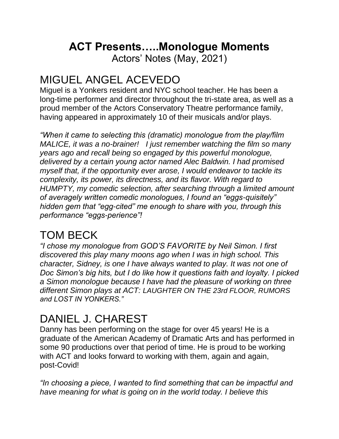### **ACT Presents…..Monologue Moments**

Actors' Notes (May, 2021)

### MIGUEL ANGEL ACEVEDO

Miguel is a Yonkers resident and NYC school teacher. He has been a long-time performer and director throughout the tri-state area, as well as a proud member of the Actors Conservatory Theatre performance family, having appeared in approximately 10 of their musicals and/or plays.

*"When it came to selecting this (dramatic) monologue from the play/film MALICE, it was a no-brainer! I just remember watching the film so many years ago and recall being so engaged by this powerful monologue, delivered by a certain young actor named Alec Baldwin. I had promised myself that, if the opportunity ever arose, I would endeavor to tackle its complexity, its power, its directness, and its flavor. With regard to HUMPTY, my comedic selection, after searching through a limited amount of averagely written comedic monologues, I found an "eggs-quisitely" hidden gem that "egg-cited" me enough to share with you, through this performance "eggs-perience"!*

### TOM BECK

*"I chose my monologue from GOD'S FAVORITE by Neil Simon. I first discovered this play many moons ago when I was in high school. This character, Sidney, is one I have always wanted to play. It was not one of Doc Simon's big hits, but I do like how it questions faith and loyalty. I picked a Simon monologue because I have had the pleasure of working on three different Simon plays at ACT: LAUGHTER ON THE 23rd FLOOR, RUMORS and LOST IN YONKERS."*

## DANIEL J. CHAREST

Danny has been performing on the stage for over 45 years! He is a graduate of the American Academy of Dramatic Arts and has performed in some 90 productions over that period of time. He is proud to be working with ACT and looks forward to working with them, again and again, post-Covid!

*"In choosing a piece, I wanted to find something that can be impactful and have meaning for what is going on in the world today. I believe this*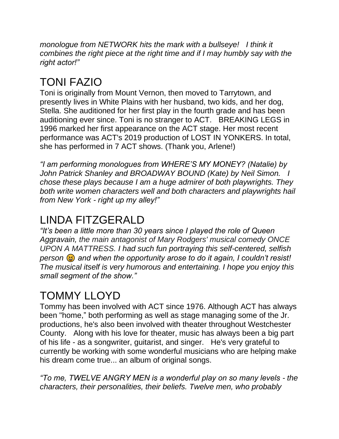*monologue from NETWORK hits the mark with a bullseye! I think it combines the right piece at the right time and if I may humbly say with the right actor!"*

# TONI FAZIO

Toni is originally from Mount Vernon, then moved to Tarrytown, and presently lives in White Plains with her husband, two kids, and her dog, Stella. She auditioned for her first play in the fourth grade and has been auditioning ever since. Toni is no stranger to ACT. BREAKING LEGS in 1996 marked her first appearance on the ACT stage. Her most recent performance was ACT's 2019 production of LOST IN YONKERS. In total, she has performed in 7 ACT shows. (Thank you, Arlene!)

*"I am performing monologues from WHERE'S MY MONEY? (Natalie) by John Patrick Shanley and BROADWAY BOUND (Kate) by Neil Simon. I chose these plays because I am a huge admirer of both playwrights. They both write women characters well and both characters and playwrights hail from New York - right up my alley!"*

## LINDA FITZGERALD

*"It's been a little more than 30 years since I played the role of Queen Aggravain, the main antagonist of Mary Rodgers' musical comedy ONCE UPON A MATTRESS. I had such fun portraying this self-centered, selfish*  person  $\circledast$  and when the opportunity arose to do it again, I couldn't resist! *The musical itself is very humorous and entertaining. I hope you enjoy this small segment of the show."*

# TOMMY LLOYD

Tommy has been involved with ACT since 1976. Although ACT has always been "home," both performing as well as stage managing some of the Jr. productions, he's also been involved with theater throughout Westchester County. Along with his love for theater, music has always been a big part of his life - as a songwriter, guitarist, and singer. He's very grateful to currently be working with some wonderful musicians who are helping make his dream come true... an album of original songs.

*"To me, TWELVE ANGRY MEN is a wonderful play on so many levels - the characters, their personalities, their beliefs. Twelve men, who probably*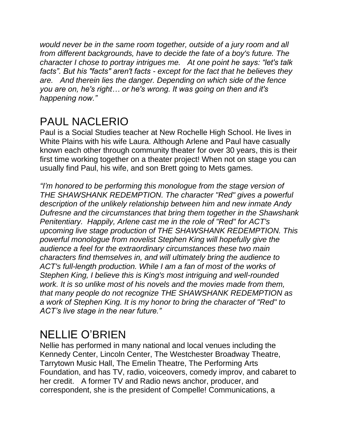*would never be in the same room together, outside of a jury room and all from different backgrounds, have to decide the fate of a boy's future. The character I chose to portray intrigues me. At one point he says: "let's talk facts". But his "facts" aren't facts - except for the fact that he believes they are. And therein lies the danger. Depending on which side of the fence you are on, he's right… or he's wrong. It was going on then and it's happening now."*

## PAUL NACLERIO

Paul is a Social Studies teacher at New Rochelle High School. He lives in White Plains with his wife Laura. Although Arlene and Paul have casually known each other through community theater for over 30 years, this is their first time working together on a theater project! When not on stage you can usually find Paul, his wife, and son Brett going to Mets games.

*"I'm honored to be performing this monologue from the stage version of THE SHAWSHANK REDEMPTION. The character "Red" gives a powerful description of the unlikely relationship between him and new inmate Andy Dufresne and the circumstances that bring them together in the Shawshank Penitentiary. Happily, Arlene cast me in the role of "Red" for ACT's upcoming live stage production of THE SHAWSHANK REDEMPTION. This powerful monologue from novelist Stephen King will hopefully give the audience a feel for the extraordinary circumstances these two main characters find themselves in, and will ultimately bring the audience to ACT's full-length production. While I am a fan of most of the works of Stephen King, I believe this is King's most intriguing and well-rounded work. It is so unlike most of his novels and the movies made from them, that many people do not recognize THE SHAWSHANK REDEMPTION as a work of Stephen King. It is my honor to bring the character of "Red" to ACT's live stage in the near future."*

#### NELLIE O'BRIEN

Nellie has performed in many national and local venues including the Kennedy Center, Lincoln Center, The Westchester Broadway Theatre, Tarrytown Music Hall, The Emelin Theatre, The Performing Arts Foundation, and has TV, radio, voiceovers, comedy improv, and cabaret to her credit. A former TV and Radio news anchor, producer, and correspondent, she is the president of Compelle! Communications, a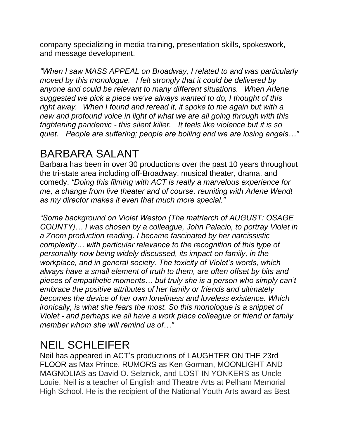company specializing in media training, presentation skills, spokeswork, and message development.

*"When I saw MASS APPEAL on Broadway, I related to and was particularly moved by this monologue. I felt strongly that it could be delivered by anyone and could be relevant to many different situations. When Arlene suggested we pick a piece we've always wanted to do, I thought of this right away. When I found and reread it, it spoke to me again but with a new and profound voice in light of what we are all going through with this frightening pandemic - this silent killer. It feels like violence but it is so quiet. People are suffering; people are boiling and we are losing angels…"*

### BARBARA SALANT

Barbara has been in over 30 productions over the past 10 years throughout the tri-state area including off-Broadway, musical theater, drama, and comedy. *"Doing this filming with ACT is really a marvelous experience for me, a change from live theater and of course, reuniting with Arlene Wendt as my director makes it even that much more special."*

*"Some background on Violet Weston (The matriarch of AUGUST: OSAGE COUNTY)… I was chosen by a colleague, John Palacio, to portray Violet in a Zoom production reading. I became fascinated by her narcissistic complexity… with particular relevance to the recognition of this type of personality now being widely discussed, its impact on family, in the workplace, and in general society. The toxicity of Violet's words, which always have a small element of truth to them, are often offset by bits and pieces of empathetic moments… but truly she is a person who simply can't embrace the positive attributes of her family or friends and ultimately becomes the device of her own loneliness and loveless existence. Which ironically, is what she fears the most. So this monologue is a snippet of Violet - and perhaps we all have a work place colleague or friend or family member whom she will remind us of…"*

### NEIL SCHLEIFER

Neil has appeared in ACT's productions of LAUGHTER ON THE 23rd FLOOR as Max Prince, RUMORS as Ken Gorman, MOONLIGHT AND MAGNOLIAS as David O. Selznick, and LOST IN YONKERS as Uncle Louie. Neil is a teacher of English and Theatre Arts at Pelham Memorial High School. He is the recipient of the National Youth Arts award as Best